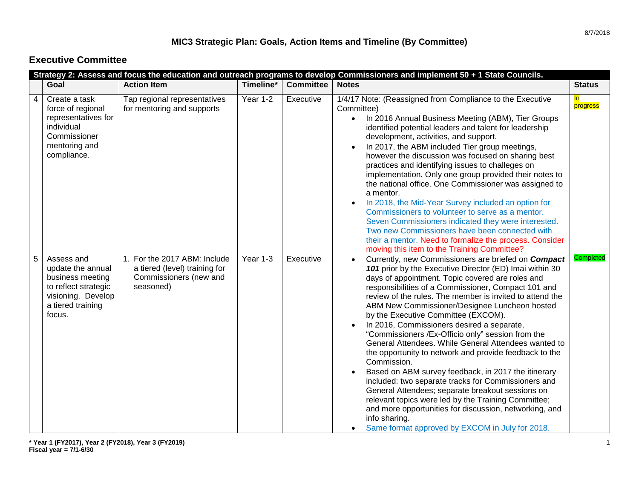#### **MIC3 Strategic Plan: Goals, Action Items and Timeline (By Committee)**

#### **Executive Committee**

|   |                                                                                                                                  |                                                                                                      |           |                  | Strategy 2: Assess and focus the education and outreach programs to develop Commissioners and implement 50 + 1 State Councils.                                                                                                                                                                                                                                                                                                                                                                                                                                                                                                                                                                                                                                                                                                                                                                                                                                           |                       |
|---|----------------------------------------------------------------------------------------------------------------------------------|------------------------------------------------------------------------------------------------------|-----------|------------------|--------------------------------------------------------------------------------------------------------------------------------------------------------------------------------------------------------------------------------------------------------------------------------------------------------------------------------------------------------------------------------------------------------------------------------------------------------------------------------------------------------------------------------------------------------------------------------------------------------------------------------------------------------------------------------------------------------------------------------------------------------------------------------------------------------------------------------------------------------------------------------------------------------------------------------------------------------------------------|-----------------------|
|   | Goal                                                                                                                             | <b>Action Item</b>                                                                                   | Timeline* | <b>Committee</b> | <b>Notes</b>                                                                                                                                                                                                                                                                                                                                                                                                                                                                                                                                                                                                                                                                                                                                                                                                                                                                                                                                                             | <b>Status</b>         |
| 4 | Create a task<br>force of regional<br>representatives for<br>individual<br>Commissioner<br>mentoring and<br>compliance.          | Tap regional representatives<br>for mentoring and supports                                           | Year 1-2  | Executive        | 1/4/17 Note: (Reassigned from Compliance to the Executive<br>Committee)<br>In 2016 Annual Business Meeting (ABM), Tier Groups<br>$\bullet$<br>identified potential leaders and talent for leadership<br>development, activities, and support.<br>In 2017, the ABM included Tier group meetings,<br>however the discussion was focused on sharing best<br>practices and identifying issues to challeges on<br>implementation. Only one group provided their notes to<br>the national office. One Commissioner was assigned to<br>a mentor.<br>In 2018, the Mid-Year Survey included an option for<br>Commissioners to volunteer to serve as a mentor.<br>Seven Commissioners indicated they were interested.<br>Two new Commissioners have been connected with<br>their a mentor. Need to formalize the process. Consider<br>moving this item to the Training Committee?                                                                                                  | <u>In</u><br>progress |
| 5 | Assess and<br>update the annual<br>business meeting<br>to reflect strategic<br>visioning. Develop<br>a tiered training<br>focus. | 1. For the 2017 ABM: Include<br>a tiered (level) training for<br>Commissioners (new and<br>seasoned) | Year 1-3  | Executive        | Currently, new Commissioners are briefed on Compact<br>101 prior by the Executive Director (ED) Imai within 30<br>days of appointment. Topic covered are roles and<br>responsibilities of a Commissioner, Compact 101 and<br>review of the rules. The member is invited to attend the<br>ABM New Commissioner/Designee Luncheon hosted<br>by the Executive Committee (EXCOM).<br>In 2016, Commissioners desired a separate,<br>"Commissioners /Ex-Officio only" session from the<br>General Attendees. While General Attendees wanted to<br>the opportunity to network and provide feedback to the<br>Commission.<br>Based on ABM survey feedback, in 2017 the itinerary<br>included: two separate tracks for Commissioners and<br>General Attendees; separate breakout sessions on<br>relevant topics were led by the Training Committee;<br>and more opportunities for discussion, networking, and<br>info sharing.<br>Same format approved by EXCOM in July for 2018. | Completed             |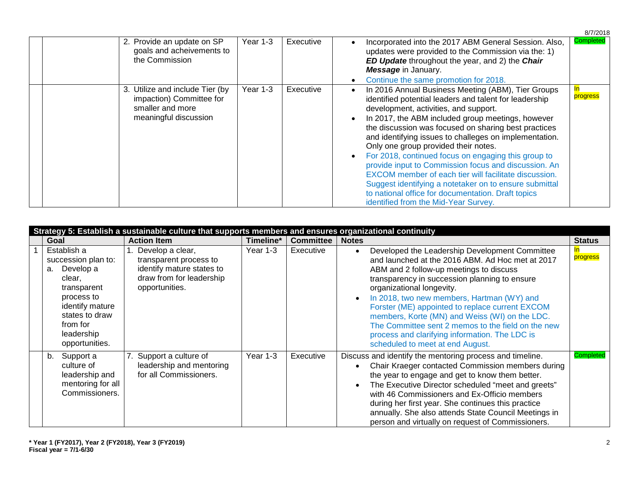|                                                                                                          |          |           |                                                                                                                                                                                                                                                                                                                                                                                                                                                                                                                                                                                                                                                                                                      | 8/7/2018         |
|----------------------------------------------------------------------------------------------------------|----------|-----------|------------------------------------------------------------------------------------------------------------------------------------------------------------------------------------------------------------------------------------------------------------------------------------------------------------------------------------------------------------------------------------------------------------------------------------------------------------------------------------------------------------------------------------------------------------------------------------------------------------------------------------------------------------------------------------------------------|------------------|
| 2. Provide an update on SP<br>goals and acheivements to<br>the Commission                                | Year 1-3 | Executive | Incorporated into the 2017 ABM General Session. Also,<br>updates were provided to the Commission via the: 1)<br>ED Update throughout the year, and 2) the Chair<br>Message in January.<br>Continue the same promotion for 2018.                                                                                                                                                                                                                                                                                                                                                                                                                                                                      | <b>Completed</b> |
| 3. Utilize and include Tier (by<br>impaction) Committee for<br>smaller and more<br>meaningful discussion | Year 1-3 | Executive | In 2016 Annual Business Meeting (ABM), Tier Groups<br>identified potential leaders and talent for leadership<br>development, activities, and support.<br>In 2017, the ABM included group meetings, however<br>the discussion was focused on sharing best practices<br>and identifying issues to challeges on implementation.<br>Only one group provided their notes.<br>For 2018, continued focus on engaging this group to<br>provide input to Commission focus and discussion. An<br>EXCOM member of each tier will facilitate discussion.<br>Suggest identifying a notetaker on to ensure submittal<br>to national office for documentation. Draft topics<br>identified from the Mid-Year Survey. | progress         |

|                                                                                                                                                                               | Strategy 5: Establish a sustainable culture that supports members and ensures organizational continuity                  |           |                  |                                                                                                                                                                                                                                                                                                                                                                                                                                                                                                                                                      |               |
|-------------------------------------------------------------------------------------------------------------------------------------------------------------------------------|--------------------------------------------------------------------------------------------------------------------------|-----------|------------------|------------------------------------------------------------------------------------------------------------------------------------------------------------------------------------------------------------------------------------------------------------------------------------------------------------------------------------------------------------------------------------------------------------------------------------------------------------------------------------------------------------------------------------------------------|---------------|
| Goal                                                                                                                                                                          | <b>Action Item</b>                                                                                                       | Timeline* | <b>Committee</b> | <b>Notes</b>                                                                                                                                                                                                                                                                                                                                                                                                                                                                                                                                         | <b>Status</b> |
| Establish a<br>succession plan to:<br>Develop a<br>а.<br>clear,<br>transparent<br>process to<br>identify mature<br>states to draw<br>from for<br>leadership<br>opportunities. | 1. Develop a clear,<br>transparent process to<br>identify mature states to<br>draw from for leadership<br>opportunities. | Year 1-3  | Executive        | Developed the Leadership Development Committee<br>$\bullet$<br>and launched at the 2016 ABM. Ad Hoc met at 2017<br>ABM and 2 follow-up meetings to discuss<br>transparency in succession planning to ensure<br>organizational longevity.<br>In 2018, two new members, Hartman (WY) and<br>$\bullet$<br>Forster (ME) appointed to replace current EXCOM<br>members, Korte (MN) and Weiss (WI) on the LDC.<br>The Committee sent 2 memos to the field on the new<br>process and clarifying information. The LDC is<br>scheduled to meet at end August. | progress      |
| Support a<br>b.<br>culture of<br>leadership and<br>mentoring for all<br>Commissioners.                                                                                        | 7. Support a culture of<br>leadership and mentoring<br>for all Commissioners.                                            | Year 1-3  | Executive        | Discuss and identify the mentoring process and timeline.<br>Chair Kraeger contacted Commission members during<br>the year to engage and get to know them better.<br>The Executive Director scheduled "meet and greets"<br>with 46 Commissioners and Ex-Officio members<br>during her first year. She continues this practice<br>annually. She also attends State Council Meetings in<br>person and virtually on request of Commissioners.                                                                                                            | Completed     |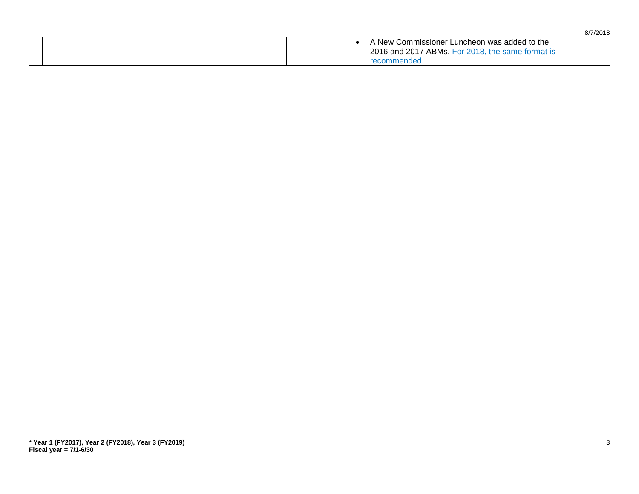|  |  |                                                                                                                 | 8/7/2018 |
|--|--|-----------------------------------------------------------------------------------------------------------------|----------|
|  |  | A New Commissioner Luncheon was added to the<br>2016 and 2017 ABMs. For 2018, the same format is<br>recommended |          |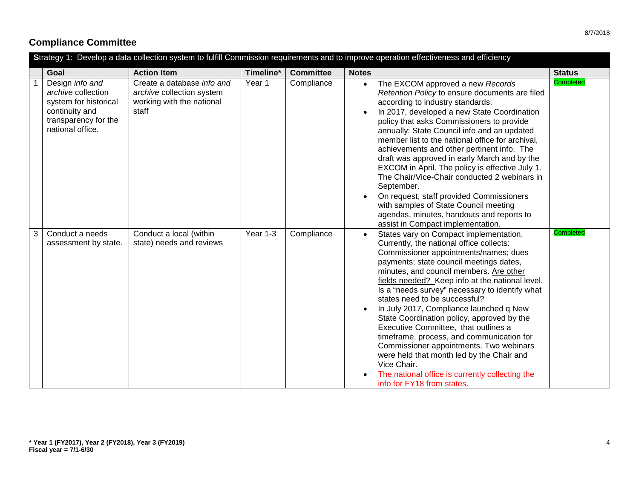## **Compliance Committee**

| Strategy 1: Develop a data collection system to fulfill Commission requirements and to improve operation effectiveness and efficiency |                                                                                                                              |                                                                                               |           |                  |                                                                                                                                                                                                                                                                                                                                                                                                                                                                                                                                                                                                                                                                                                                               |                  |  |  |
|---------------------------------------------------------------------------------------------------------------------------------------|------------------------------------------------------------------------------------------------------------------------------|-----------------------------------------------------------------------------------------------|-----------|------------------|-------------------------------------------------------------------------------------------------------------------------------------------------------------------------------------------------------------------------------------------------------------------------------------------------------------------------------------------------------------------------------------------------------------------------------------------------------------------------------------------------------------------------------------------------------------------------------------------------------------------------------------------------------------------------------------------------------------------------------|------------------|--|--|
|                                                                                                                                       | Goal                                                                                                                         | <b>Action Item</b>                                                                            | Timeline* | <b>Committee</b> | <b>Notes</b>                                                                                                                                                                                                                                                                                                                                                                                                                                                                                                                                                                                                                                                                                                                  | <b>Status</b>    |  |  |
|                                                                                                                                       | Design info and<br>archive collection<br>system for historical<br>continuity and<br>transparency for the<br>national office. | Create a database info and<br>archive collection system<br>working with the national<br>staff | Year 1    | Compliance       | The EXCOM approved a new Records<br>$\bullet$<br>Retention Policy to ensure documents are filed<br>according to industry standards.<br>In 2017, developed a new State Coordination<br>policy that asks Commissioners to provide<br>annually: State Council info and an updated<br>member list to the national office for archival,<br>achievements and other pertinent info. The<br>draft was approved in early March and by the<br>EXCOM in April. The policy is effective July 1.<br>The Chair/Vice-Chair conducted 2 webinars in<br>September.<br>On request, staff provided Commissioners<br>with samples of State Council meeting<br>agendas, minutes, handouts and reports to<br>assist in Compact implementation.      | <b>Completed</b> |  |  |
| 3                                                                                                                                     | Conduct a needs<br>assessment by state.                                                                                      | Conduct a local (within<br>state) needs and reviews                                           | Year 1-3  | Compliance       | States vary on Compact implementation.<br>Currently, the national office collects:<br>Commissioner appointments/names; dues<br>payments; state council meetings dates,<br>minutes, and council members. Are other<br>fields needed? Keep info at the national level.<br>Is a "needs survey" necessary to identify what<br>states need to be successful?<br>In July 2017, Compliance launched q New<br>State Coordination policy, approved by the<br>Executive Committee, that outlines a<br>timeframe, process, and communication for<br>Commissioner appointments. Two webinars<br>were held that month led by the Chair and<br>Vice Chair.<br>The national office is currently collecting the<br>info for FY18 from states. | Completed        |  |  |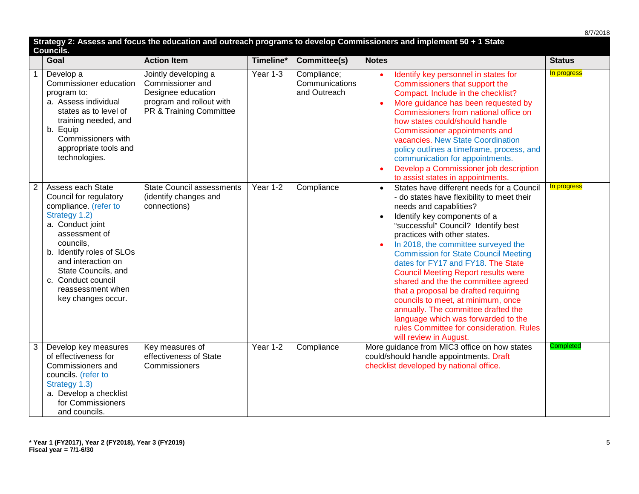|                |                                                                                                                                                                                                                                                                                    |                                                                                                                       |           |                                               |                                                                                                                                                                                                                                                                                                                                                                                                                                                                                                                                                                                                                                                                                          | 8/7/2018         |
|----------------|------------------------------------------------------------------------------------------------------------------------------------------------------------------------------------------------------------------------------------------------------------------------------------|-----------------------------------------------------------------------------------------------------------------------|-----------|-----------------------------------------------|------------------------------------------------------------------------------------------------------------------------------------------------------------------------------------------------------------------------------------------------------------------------------------------------------------------------------------------------------------------------------------------------------------------------------------------------------------------------------------------------------------------------------------------------------------------------------------------------------------------------------------------------------------------------------------------|------------------|
|                | <b>Councils.</b>                                                                                                                                                                                                                                                                   |                                                                                                                       |           |                                               | Strategy 2: Assess and focus the education and outreach programs to develop Commissioners and implement 50 + 1 State                                                                                                                                                                                                                                                                                                                                                                                                                                                                                                                                                                     |                  |
|                | Goal                                                                                                                                                                                                                                                                               | <b>Action Item</b>                                                                                                    | Timeline* | Committee(s)                                  | <b>Notes</b>                                                                                                                                                                                                                                                                                                                                                                                                                                                                                                                                                                                                                                                                             | <b>Status</b>    |
| $\mathbf{1}$   | Develop a<br>Commissioner education<br>program to:<br>a. Assess individual<br>states as to level of<br>training needed, and<br>b. Equip<br>Commissioners with<br>appropriate tools and<br>technologies.                                                                            | Jointly developing a<br>Commissioner and<br>Designee education<br>program and rollout with<br>PR & Training Committee | Year 1-3  | Compliance;<br>Communications<br>and Outreach | Identify key personnel in states for<br>Commissioners that support the<br>Compact. Include in the checklist?<br>More guidance has been requested by<br>Commissioners from national office on<br>how states could/should handle<br>Commissioner appointments and<br>vacancies. New State Coordination<br>policy outlines a timeframe, process, and<br>communication for appointments.<br>Develop a Commissioner job description<br>to assist states in appointments.                                                                                                                                                                                                                      | In progress      |
| $\overline{2}$ | Assess each State<br>Council for regulatory<br>compliance. (refer to<br>Strategy 1.2)<br>a. Conduct joint<br>assessment of<br>councils,<br>b. Identify roles of SLOs<br>and interaction on<br>State Councils, and<br>c. Conduct council<br>reassessment when<br>key changes occur. | <b>State Council assessments</b><br>(identify changes and<br>connections)                                             | Year 1-2  | Compliance                                    | States have different needs for a Council<br>$\bullet$<br>- do states have flexibility to meet their<br>needs and capablities?<br>Identify key components of a<br>"successful" Council? Identify best<br>practices with other states.<br>In 2018, the committee surveyed the<br><b>Commission for State Council Meeting</b><br>dates for FY17 and FY18. The State<br><b>Council Meeting Report results were</b><br>shared and the the committee agreed<br>that a proposal be drafted requiring<br>councils to meet, at minimum, once<br>annually. The committee drafted the<br>language which was forwarded to the<br>rules Committee for consideration. Rules<br>will review in August. | In progress      |
| 3              | Develop key measures<br>of effectiveness for<br>Commissioners and<br>councils. (refer to<br>Strategy 1.3)<br>a. Develop a checklist<br>for Commissioners<br>and councils.                                                                                                          | Key measures of<br>effectiveness of State<br>Commissioners                                                            | Year 1-2  | Compliance                                    | More guidance from MIC3 office on how states<br>could/should handle appointments. Draft<br>checklist developed by national office.                                                                                                                                                                                                                                                                                                                                                                                                                                                                                                                                                       | <b>Completed</b> |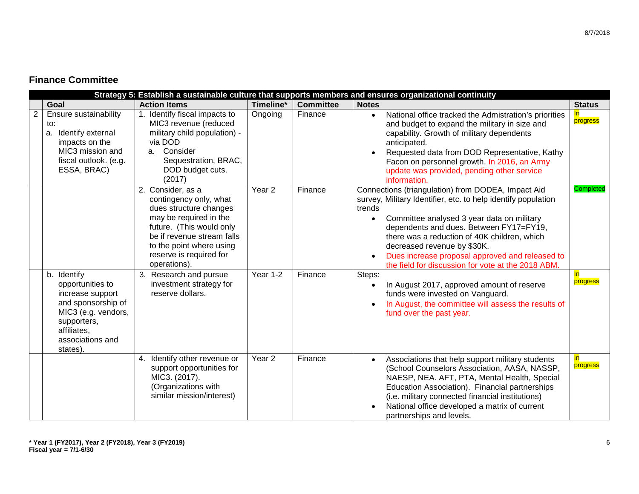#### **Finance Committee**

|                |                                                                                                                                    |                                                                                                                                                                                                                                                                                                           |                               |                    | Strategy 5: Establish a sustainable culture that supports members and ensures organizational continuity                                                                                                                                                                                                                                                                                                                                                                                                                                           |                                       |
|----------------|------------------------------------------------------------------------------------------------------------------------------------|-----------------------------------------------------------------------------------------------------------------------------------------------------------------------------------------------------------------------------------------------------------------------------------------------------------|-------------------------------|--------------------|---------------------------------------------------------------------------------------------------------------------------------------------------------------------------------------------------------------------------------------------------------------------------------------------------------------------------------------------------------------------------------------------------------------------------------------------------------------------------------------------------------------------------------------------------|---------------------------------------|
|                | Goal                                                                                                                               | <b>Action Items</b>                                                                                                                                                                                                                                                                                       | Timeline*                     | <b>Committee</b>   | <b>Notes</b>                                                                                                                                                                                                                                                                                                                                                                                                                                                                                                                                      | <b>Status</b>                         |
| $\overline{2}$ | Ensure sustainability<br>to:<br>a. Identify external<br>impacts on the<br>MIC3 mission and<br>fiscal outlook. (e.g.<br>ESSA, BRAC) | 1. Identify fiscal impacts to<br>MIC3 revenue (reduced<br>military child population) -<br>via DOD<br>a. Consider<br>Sequestration, BRAC,<br>DOD budget cuts.<br>(2017)                                                                                                                                    | Ongoing                       | Finance            | National office tracked the Admistration's priorities<br>$\bullet$<br>and budget to expand the military in size and<br>capability. Growth of military dependents<br>anticipated.<br>Requested data from DOD Representative, Kathy<br>Facon on personnel growth. In 2016, an Army<br>update was provided, pending other service<br>information.                                                                                                                                                                                                    | progress                              |
|                | b. Identify<br>opportunities to<br>increase support                                                                                | 2. Consider, as a<br>contingency only, what<br>dues structure changes<br>may be required in the<br>future. (This would only<br>be if revenue stream falls<br>to the point where using<br>reserve is required for<br>operations).<br>3. Research and pursue<br>investment strategy for<br>reserve dollars. | Year <sub>2</sub><br>Year 1-2 | Finance<br>Finance | Connections (triangulation) from DODEA, Impact Aid<br>survey, Military Identifier, etc. to help identify population<br>trends<br>Committee analysed 3 year data on military<br>$\bullet$<br>dependents and dues. Between FY17=FY19,<br>there was a reduction of 40K children, which<br>decreased revenue by \$30K.<br>Dues increase proposal approved and released to<br>$\bullet$<br>the field for discussion for vote at the 2018 ABM.<br>Steps:<br>In August 2017, approved amount of reserve<br>$\bullet$<br>funds were invested on Vanguard. | <b>Completed</b><br>$\ln$<br>progress |
|                | and sponsorship of<br>MIC3 (e.g. vendors,<br>supporters,<br>affiliates.<br>associations and<br>states).                            |                                                                                                                                                                                                                                                                                                           |                               |                    | In August, the committee will assess the results of<br>$\bullet$<br>fund over the past year.                                                                                                                                                                                                                                                                                                                                                                                                                                                      |                                       |
|                |                                                                                                                                    | Identify other revenue or<br>4.<br>support opportunities for<br>MIC3. (2017).<br>(Organizations with<br>similar mission/interest)                                                                                                                                                                         | Year <sub>2</sub>             | Finance            | Associations that help support military students<br>$\bullet$<br>(School Counselors Association, AASA, NASSP,<br>NAESP, NEA. AFT, PTA, Mental Health, Special<br>Education Association). Financial partnerships<br>(i.e. military connected financial institutions)<br>National office developed a matrix of current<br>partnerships and levels.                                                                                                                                                                                                  | <u>In</u><br>progress                 |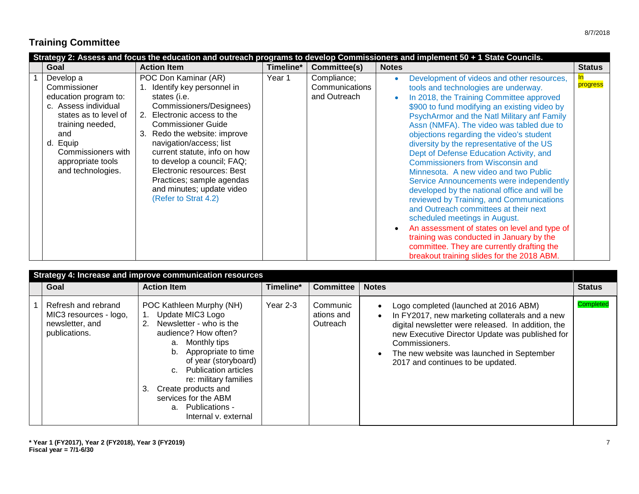## **Training Committee**

|                                                                                                                                                                                                            |                                                                                                                                                                                                                                                                                                                                                                                                    |           |                                               | Strategy 2: Assess and focus the education and outreach programs to develop Commissioners and implement 50 + 1 State Councils.                                                                                                                                                                                                                                                                                                                                                                                                                                                                                                                                                                                                                                                                                                                                                                                                        |               |
|------------------------------------------------------------------------------------------------------------------------------------------------------------------------------------------------------------|----------------------------------------------------------------------------------------------------------------------------------------------------------------------------------------------------------------------------------------------------------------------------------------------------------------------------------------------------------------------------------------------------|-----------|-----------------------------------------------|---------------------------------------------------------------------------------------------------------------------------------------------------------------------------------------------------------------------------------------------------------------------------------------------------------------------------------------------------------------------------------------------------------------------------------------------------------------------------------------------------------------------------------------------------------------------------------------------------------------------------------------------------------------------------------------------------------------------------------------------------------------------------------------------------------------------------------------------------------------------------------------------------------------------------------------|---------------|
| Goal                                                                                                                                                                                                       | <b>Action Item</b>                                                                                                                                                                                                                                                                                                                                                                                 | Timeline* | Committee(s)                                  | <b>Notes</b>                                                                                                                                                                                                                                                                                                                                                                                                                                                                                                                                                                                                                                                                                                                                                                                                                                                                                                                          | <b>Status</b> |
| Develop a<br>Commissioner<br>education program to:<br>c. Assess individual<br>states as to level of<br>training needed,<br>and<br>d. Equip<br>Commissioners with<br>appropriate tools<br>and technologies. | POC Don Kaminar (AR)<br>1. Identify key personnel in<br>states (i.e.<br>Commissioners/Designees)<br>2. Electronic access to the<br><b>Commissioner Guide</b><br>Redo the website: improve<br>navigation/access; list<br>current statute, info on how<br>to develop a council; FAQ;<br>Electronic resources: Best<br>Practices; sample agendas<br>and minutes; update video<br>(Refer to Strat 4.2) | Year 1    | Compliance;<br>Communications<br>and Outreach | Development of videos and other resources,<br>$\bullet$<br>tools and technologies are underway.<br>In 2018, the Training Committee approved<br>$\bullet$<br>\$900 to fund modifying an existing video by<br>PsychArmor and the Natl Military anf Family<br>Assn (NMFA). The video was tabled due to<br>objections regarding the video's student<br>diversity by the representative of the US<br>Dept of Defense Education Activity, and<br><b>Commissioners from Wisconsin and</b><br>Minnesota. A new video and two Public<br>Service Announcements were independently<br>developed by the national office and will be<br>reviewed by Training, and Communications<br>and Outreach committees at their next<br>scheduled meetings in August.<br>An assessment of states on level and type of<br>training was conducted in January by the<br>committee. They are currently drafting the<br>breakout training slides for the 2018 ABM. | progress      |

|                                                                                   | Strategy 4: Increase and improve communication resources                                                                                                                                                                                                                                                                                                     |            |                                    |                                                                                                                                                                                                                                                                                                      |                  |
|-----------------------------------------------------------------------------------|--------------------------------------------------------------------------------------------------------------------------------------------------------------------------------------------------------------------------------------------------------------------------------------------------------------------------------------------------------------|------------|------------------------------------|------------------------------------------------------------------------------------------------------------------------------------------------------------------------------------------------------------------------------------------------------------------------------------------------------|------------------|
| Goal                                                                              | <b>Action Item</b>                                                                                                                                                                                                                                                                                                                                           | Timeline*  | <b>Committee</b>                   | <b>Notes</b>                                                                                                                                                                                                                                                                                         | <b>Status</b>    |
| Refresh and rebrand<br>MIC3 resources - logo,<br>newsletter, and<br>publications. | POC Kathleen Murphy (NH)<br>Update MIC3 Logo<br>Newsletter - who is the<br>2.<br>audience? How often?<br>a. Monthly tips<br>Appropriate to time<br>b.<br>of year (storyboard)<br><b>Publication articles</b><br>$C_{\rm{eff}}$<br>re: military families<br>Create products and<br>3.<br>services for the ABM<br>Publications -<br>a.<br>Internal v. external | Year $2-3$ | Communic<br>ations and<br>Outreach | Logo completed (launched at 2016 ABM)<br>In FY2017, new marketing collaterals and a new<br>digital newsletter were released. In addition, the<br>new Executive Director Update was published for<br>Commissioners.<br>The new website was launched in September<br>2017 and continues to be updated. | <b>Completed</b> |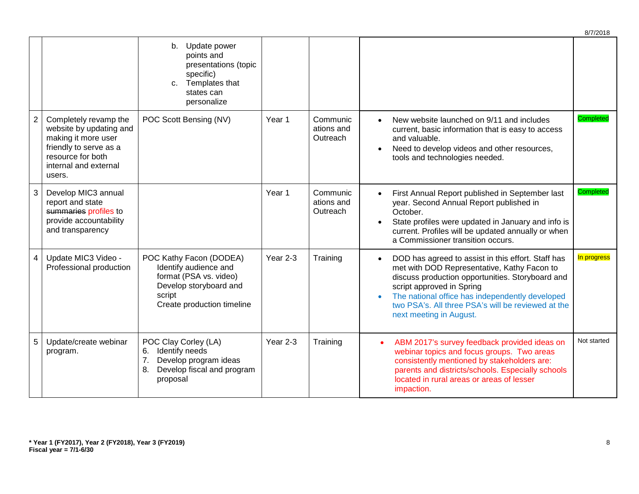|                |                                                                                                                                                           |                                                                                                                                              |                   |                                    | 8/7/2018                                                                                                                                                                                                                                                                                                                                           |
|----------------|-----------------------------------------------------------------------------------------------------------------------------------------------------------|----------------------------------------------------------------------------------------------------------------------------------------------|-------------------|------------------------------------|----------------------------------------------------------------------------------------------------------------------------------------------------------------------------------------------------------------------------------------------------------------------------------------------------------------------------------------------------|
|                |                                                                                                                                                           | b. Update power<br>points and<br>presentations (topic<br>specific)<br>Templates that<br>C.<br>states can<br>personalize                      |                   |                                    |                                                                                                                                                                                                                                                                                                                                                    |
| $\overline{c}$ | Completely revamp the<br>website by updating and<br>making it more user<br>friendly to serve as a<br>resource for both<br>internal and external<br>users. | POC Scott Bensing (NV)                                                                                                                       | Year 1            | Communic<br>ations and<br>Outreach | <b>Completed</b><br>New website launched on 9/11 and includes<br>current, basic information that is easy to access<br>and valuable.<br>Need to develop videos and other resources,<br>$\bullet$<br>tools and technologies needed.                                                                                                                  |
| 3              | Develop MIC3 annual<br>report and state<br>summaries profiles to<br>provide accountability<br>and transparency                                            |                                                                                                                                              | Year <sub>1</sub> | Communic<br>ations and<br>Outreach | Completed<br>First Annual Report published in September last<br>year. Second Annual Report published in<br>October.<br>State profiles were updated in January and info is<br>current. Profiles will be updated annually or when<br>a Commissioner transition occurs.                                                                               |
| $\overline{4}$ | Update MIC3 Video -<br>Professional production                                                                                                            | POC Kathy Facon (DODEA)<br>Identify audience and<br>format (PSA vs. video)<br>Develop storyboard and<br>script<br>Create production timeline | Year 2-3          | Training                           | In progress<br>DOD has agreed to assist in this effort. Staff has<br>$\bullet$<br>met with DOD Representative, Kathy Facon to<br>discuss production opportunities. Storyboard and<br>script approved in Spring<br>The national office has independently developed<br>two PSA's. All three PSA's will be reviewed at the<br>next meeting in August. |
| 5              | Update/create webinar<br>program.                                                                                                                         | POC Clay Corley (LA)<br>Identify needs<br>6.<br>7.<br>Develop program ideas<br>8.<br>Develop fiscal and program<br>proposal                  | Year 2-3          | Training                           | Not started<br>ABM 2017's survey feedback provided ideas on<br>webinar topics and focus groups. Two areas<br>consistently mentioned by stakeholders are:<br>parents and districts/schools. Especially schools<br>located in rural areas or areas of lesser<br>impaction.                                                                           |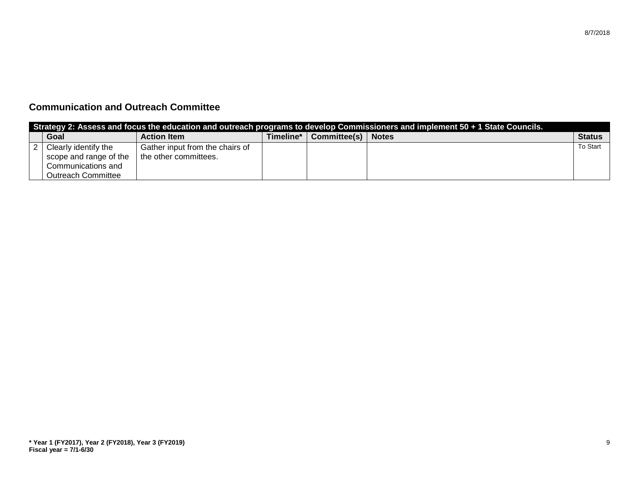| Strategy 2: Assess and focus the education and outreach programs to develop Commissioners and implement 50 + 1 State Councils. |                                 |           |                      |  |               |  |  |
|--------------------------------------------------------------------------------------------------------------------------------|---------------------------------|-----------|----------------------|--|---------------|--|--|
| Goal                                                                                                                           | <b>Action Item</b>              | Timeline* | Committee(s)   Notes |  | <b>Status</b> |  |  |
| Clearly identify the                                                                                                           | Gather input from the chairs of |           |                      |  | To Start      |  |  |
| scope and range of the                                                                                                         | the other committees.           |           |                      |  |               |  |  |
| Communications and                                                                                                             |                                 |           |                      |  |               |  |  |
| <b>Outreach Committee</b>                                                                                                      |                                 |           |                      |  |               |  |  |

### **Communication and Outreach Committee**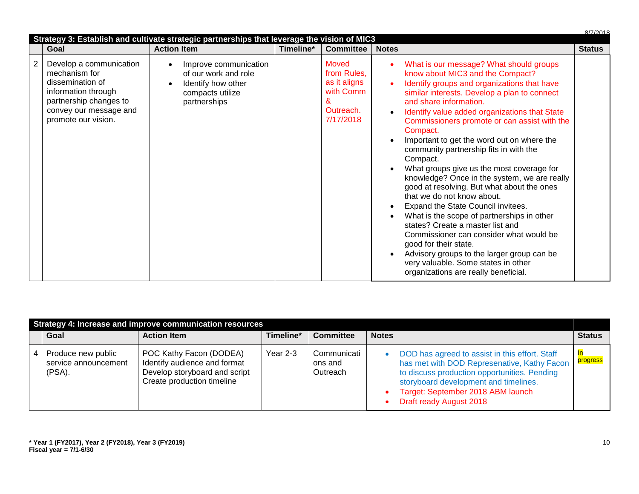|                       |                                                                                                                                                                | Strategy 3: Establish and cultivate strategic partnerships that leverage the vision of MIC3             |           |                                                                                  |                                                                                                                                                                                                                                                                                                                                                                                                                                                                                                                                                                                                                                                                                                                                                                                                                                                                                                                                                                                          | R/7/2018      |
|-----------------------|----------------------------------------------------------------------------------------------------------------------------------------------------------------|---------------------------------------------------------------------------------------------------------|-----------|----------------------------------------------------------------------------------|------------------------------------------------------------------------------------------------------------------------------------------------------------------------------------------------------------------------------------------------------------------------------------------------------------------------------------------------------------------------------------------------------------------------------------------------------------------------------------------------------------------------------------------------------------------------------------------------------------------------------------------------------------------------------------------------------------------------------------------------------------------------------------------------------------------------------------------------------------------------------------------------------------------------------------------------------------------------------------------|---------------|
|                       | Goal                                                                                                                                                           | <b>Action Item</b>                                                                                      | Timeline* | <b>Committee</b>                                                                 | <b>Notes</b>                                                                                                                                                                                                                                                                                                                                                                                                                                                                                                                                                                                                                                                                                                                                                                                                                                                                                                                                                                             | <b>Status</b> |
| $\mathbf{2}^{\prime}$ | Develop a communication<br>mechanism for<br>dissemination of<br>information through<br>partnership changes to<br>convey our message and<br>promote our vision. | Improve communication<br>of our work and role<br>Identify how other<br>compacts utilize<br>partnerships |           | Moved<br>from Rules,<br>as it aligns<br>with Comm<br>&<br>Outreach.<br>7/17/2018 | What is our message? What should groups<br>know about MIC3 and the Compact?<br>Identify groups and organizations that have<br>$\bullet$<br>similar interests. Develop a plan to connect<br>and share information.<br>Identify value added organizations that State<br>$\bullet$<br>Commissioners promote or can assist with the<br>Compact.<br>Important to get the word out on where the<br>community partnership fits in with the<br>Compact.<br>What groups give us the most coverage for<br>knowledge? Once in the system, we are really<br>good at resolving. But what about the ones<br>that we do not know about.<br>Expand the State Council invitees.<br>$\bullet$<br>What is the scope of partnerships in other<br>$\bullet$<br>states? Create a master list and<br>Commissioner can consider what would be<br>good for their state.<br>Advisory groups to the larger group can be<br>$\bullet$<br>very valuable. Some states in other<br>organizations are really beneficial. |               |

| Strategy 4: Increase and improve communication resources |                                                      |                                                                                                                        |           |                                    |                                                                                                                                                                                                                                                        |               |  |  |  |
|----------------------------------------------------------|------------------------------------------------------|------------------------------------------------------------------------------------------------------------------------|-----------|------------------------------------|--------------------------------------------------------------------------------------------------------------------------------------------------------------------------------------------------------------------------------------------------------|---------------|--|--|--|
|                                                          | Goal                                                 | <b>Action Item</b>                                                                                                     | Timeline* | <b>Committee</b>                   | <b>Notes</b>                                                                                                                                                                                                                                           | <b>Status</b> |  |  |  |
| 4                                                        | Produce new public<br>service announcement<br>(PSA). | POC Kathy Facon (DODEA)<br>Identify audience and format<br>Develop storyboard and script<br>Create production timeline | Year 2-3  | Communicati<br>ons and<br>Outreach | DOD has agreed to assist in this effort. Staff<br>has met with DOD Represenative, Kathy Facon<br>to discuss production opportunities. Pending<br>storyboard development and timelines.<br>Target: September 2018 ABM launch<br>Draft ready August 2018 | progress      |  |  |  |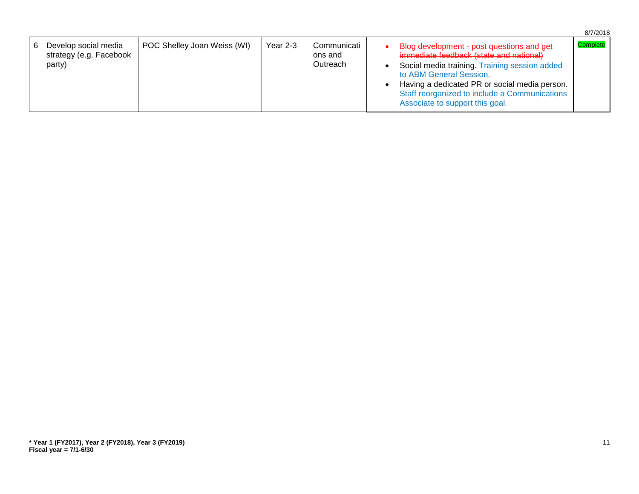|                                                           |                             |          |                                    | 8/7/2018                                                                                                                                                                                                                                                                                                          |  |
|-----------------------------------------------------------|-----------------------------|----------|------------------------------------|-------------------------------------------------------------------------------------------------------------------------------------------------------------------------------------------------------------------------------------------------------------------------------------------------------------------|--|
| Develop social media<br>strategy (e.g. Facebook<br>party) | POC Shelley Joan Weiss (WI) | Year 2-3 | Communicati<br>ons and<br>Outreach | Complete<br>Blog development - post questions and get<br>immediate feedback (state and national)<br>Social media training. Training session added<br>to ABM General Session.<br>Having a dedicated PR or social media person.<br>Staff reorganized to include a Communications<br>Associate to support this goal. |  |